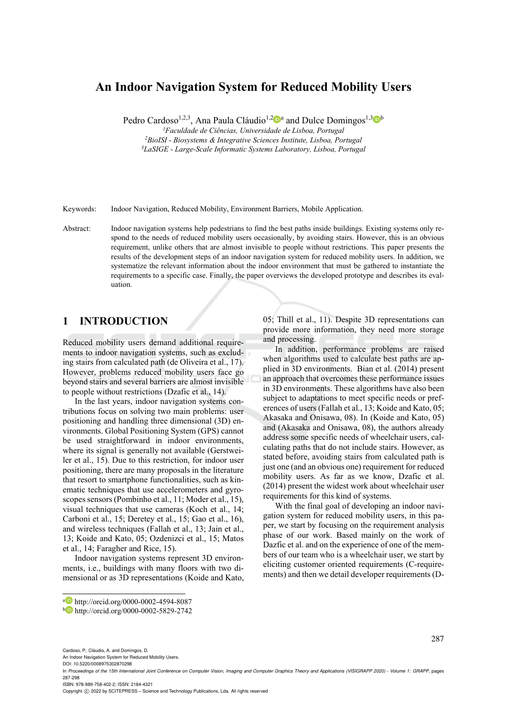# **An Indoor Navigation System for Reduced Mobility Users**

Pedro Cardoso<sup>1,2,3</sup>, Ana Paula Cláudio<sup>1,2</sup><sup>0</sup><sup>a</sup> and Dulce Domingos<sup>1,3</sup><sup>0</sup><sup>b</sup><br><sup>1</sup>Faculdade de Ciências, Universidade de Lisboa, Portugal

*1Faculdade de Ciências, Universidade de Lisboa, Portugal 2BioISI - Biosystems & Integrative Sciences Institute, Lisboa, Portugal 3LaSIGE - Large-Scale Informatic Systems Laboratory, Lisboa, Portugal* 

Keywords: Indoor Navigation, Reduced Mobility, Environment Barriers, Mobile Application.

Abstract: Indoor navigation systems help pedestrians to find the best paths inside buildings. Existing systems only respond to the needs of reduced mobility users occasionally, by avoiding stairs. However, this is an obvious requirement, unlike others that are almost invisible to people without restrictions. This paper presents the results of the development steps of an indoor navigation system for reduced mobility users. In addition, we systematize the relevant information about the indoor environment that must be gathered to instantiate the requirements to a specific case. Finally, the paper overviews the developed prototype and describes its evaluation.

# **1 INTRODUCTION**

Reduced mobility users demand additional requirements to indoor navigation systems, such as excluding stairs from calculated path (de Oliveira et al., 17). However, problems reduced mobility users face go beyond stairs and several barriers are almost invisible to people without restrictions (Dzafic et al., 14).

In the last years, indoor navigation systems contributions focus on solving two main problems: user positioning and handling three dimensional (3D) environments. Global Positioning System (GPS) cannot be used straightforward in indoor environments, where its signal is generally not available (Gerstweiler et al., 15). Due to this restriction, for indoor user positioning, there are many proposals in the literature that resort to smartphone functionalities, such as kinematic techniques that use accelerometers and gyroscopes sensors (Pombinho et al., 11; Moder et al., 15), visual techniques that use cameras (Koch et al., 14; Carboni et al., 15; Deretey et al., 15; Gao et al., 16), and wireless techniques (Fallah et al., 13; Jain et al., 13; Koide and Kato, 05; Ozdenizci et al., 15; Matos et al., 14; Faragher and Rice, 15).

Indoor navigation systems represent 3D environments, i.e., buildings with many floors with two dimensional or as 3D representations (Koide and Kato, 05; Thill et al., 11). Despite 3D representations can provide more information, they need more storage and processing.

In addition, performance problems are raised when algorithms used to calculate best paths are applied in 3D environments. Bian et al. (2014) present an approach that overcomes these performance issues in 3D environments. These algorithms have also been subject to adaptations to meet specific needs or preferences of users (Fallah et al., 13; Koide and Kato, 05; Akasaka and Onisawa, 08). In (Koide and Kato, 05) and (Akasaka and Onisawa, 08), the authors already address some specific needs of wheelchair users, calculating paths that do not include stairs. However, as stated before, avoiding stairs from calculated path is just one (and an obvious one) requirement for reduced mobility users. As far as we know, Dzafic et al. (2014) present the widest work about wheelchair user requirements for this kind of systems.

With the final goal of developing an indoor navigation system for reduced mobility users, in this paper, we start by focusing on the requirement analysis phase of our work. Based mainly on the work of Dazfic et al. and on the experience of one of the members of our team who is a wheelchair user, we start by eliciting customer oriented requirements (C-requirements) and then we detail developer requirements (D-

287

An Indoor Navigation System for Reduced Mobility Users.

 $\overline{a}$ 

ISBN: 978-989-758-402-2; ISSN: 2184-4321

a http://orcid.org/0000-0002-4594-8087<br>b http://orcid.org/0000-0002-5829-2742

Cardoso, P., Cláudio, A. and Domingos, D.

DOI: 10.5220/0008975302870298

In *Proceedings of the 15th International Joint Conference on Computer Vision, Imaging and Computer Graphics Theory and Applications (VISIGRAPP 2020) - Volume 1: GRAPP*, pages 287-298

Copyright (C) 2022 by SCITEPRESS - Science and Technology Publications, Lda. All rights reserved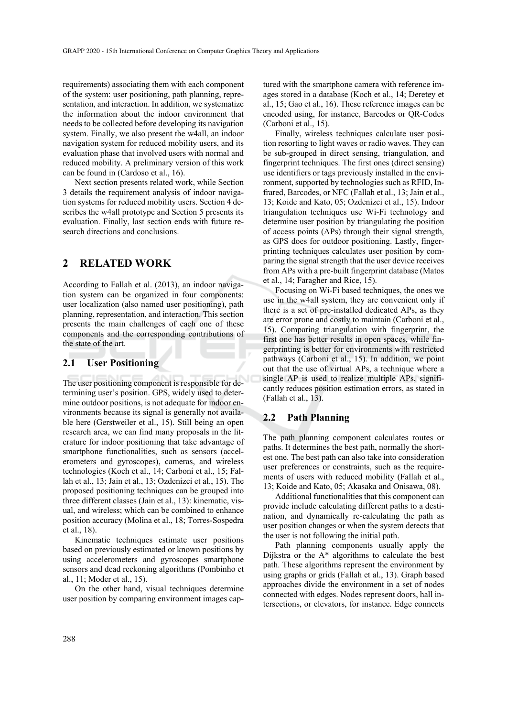requirements) associating them with each component of the system: user positioning, path planning, representation, and interaction. In addition, we systematize the information about the indoor environment that needs to be collected before developing its navigation system. Finally, we also present the w4all, an indoor navigation system for reduced mobility users, and its evaluation phase that involved users with normal and reduced mobility. A preliminary version of this work can be found in (Cardoso et al., 16).

Next section presents related work, while Section 3 details the requirement analysis of indoor navigation systems for reduced mobility users. Section 4 describes the w4all prototype and Section 5 presents its evaluation. Finally, last section ends with future research directions and conclusions.

# **2 RELATED WORK**

According to Fallah et al. (2013), an indoor navigation system can be organized in four components: user localization (also named user positioning), path planning, representation, and interaction. This section presents the main challenges of each one of these components and the corresponding contributions of the state of the art.

#### **2.1 User Positioning**

The user positioning component is responsible for determining user's position. GPS, widely used to determine outdoor positions, is not adequate for indoor environments because its signal is generally not available here (Gerstweiler et al., 15). Still being an open research area, we can find many proposals in the literature for indoor positioning that take advantage of smartphone functionalities, such as sensors (accelerometers and gyroscopes), cameras, and wireless technologies (Koch et al., 14; Carboni et al., 15; Fallah et al., 13; Jain et al., 13; Ozdenizci et al., 15). The proposed positioning techniques can be grouped into three different classes (Jain et al., 13): kinematic, visual, and wireless; which can be combined to enhance position accuracy (Molina et al., 18; Torres-Sospedra et al., 18).

Kinematic techniques estimate user positions based on previously estimated or known positions by using accelerometers and gyroscopes smartphone sensors and dead reckoning algorithms (Pombinho et al., 11; Moder et al., 15).

On the other hand, visual techniques determine user position by comparing environment images cap-

tured with the smartphone camera with reference images stored in a database (Koch et al., 14; Deretey et al., 15; Gao et al., 16). These reference images can be encoded using, for instance, Barcodes or QR-Codes (Carboni et al., 15).

Finally, wireless techniques calculate user position resorting to light waves or radio waves. They can be sub-grouped in direct sensing, triangulation, and fingerprint techniques. The first ones (direct sensing) use identifiers or tags previously installed in the environment, supported by technologies such as RFID, Infrared, Barcodes, or NFC (Fallah et al., 13; Jain et al., 13; Koide and Kato, 05; Ozdenizci et al., 15). Indoor triangulation techniques use Wi-Fi technology and determine user position by triangulating the position of access points (APs) through their signal strength, as GPS does for outdoor positioning. Lastly, fingerprinting techniques calculates user position by comparing the signal strength that the user device receives from APs with a pre-built fingerprint database (Matos et al., 14; Faragher and Rice, 15).

Focusing on Wi-Fi based techniques, the ones we use in the w4all system, they are convenient only if there is a set of pre-installed dedicated APs, as they are error prone and costly to maintain (Carboni et al., 15). Comparing triangulation with fingerprint, the first one has better results in open spaces, while fingerprinting is better for environments with restricted pathways (Carboni et al., 15). In addition, we point out that the use of virtual APs, a technique where a single AP is used to realize multiple APs, significantly reduces position estimation errors, as stated in (Fallah et al., 13).

### **2.2 Path Planning**

The path planning component calculates routes or paths. It determines the best path, normally the shortest one. The best path can also take into consideration user preferences or constraints, such as the requirements of users with reduced mobility (Fallah et al., 13; Koide and Kato, 05; Akasaka and Onisawa, 08).

Additional functionalities that this component can provide include calculating different paths to a destination, and dynamically re-calculating the path as user position changes or when the system detects that the user is not following the initial path.

Path planning components usually apply the Dijkstra or the A\* algorithms to calculate the best path. These algorithms represent the environment by using graphs or grids (Fallah et al., 13). Graph based approaches divide the environment in a set of nodes connected with edges. Nodes represent doors, hall intersections, or elevators, for instance. Edge connects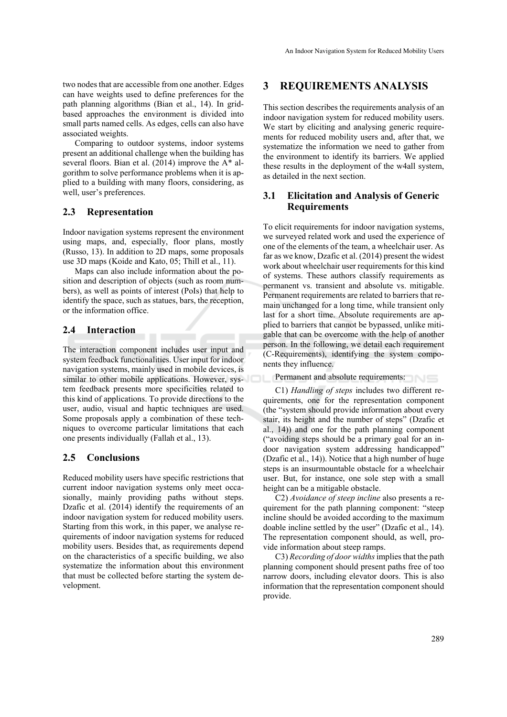two nodes that are accessible from one another. Edges can have weights used to define preferences for the path planning algorithms (Bian et al., 14). In gridbased approaches the environment is divided into small parts named cells. As edges, cells can also have associated weights.

Comparing to outdoor systems, indoor systems present an additional challenge when the building has several floors. Bian et al. (2014) improve the A\* algorithm to solve performance problems when it is applied to a building with many floors, considering, as well, user's preferences.

## **2.3 Representation**

Indoor navigation systems represent the environment using maps, and, especially, floor plans, mostly (Russo, 13). In addition to 2D maps, some proposals use 3D maps (Koide and Kato, 05; Thill et al., 11).

Maps can also include information about the position and description of objects (such as room numbers), as well as points of interest (PoIs) that help to identify the space, such as statues, bars, the reception, or the information office.

# **2.4 Interaction**

The interaction component includes user input and system feedback functionalities. User input for indoor navigation systems, mainly used in mobile devices, is similar to other mobile applications. However, system feedback presents more specificities related to this kind of applications. To provide directions to the user, audio, visual and haptic techniques are used. Some proposals apply a combination of these techniques to overcome particular limitations that each one presents individually (Fallah et al., 13).

# **2.5 Conclusions**

Reduced mobility users have specific restrictions that current indoor navigation systems only meet occasionally, mainly providing paths without steps. Dzafic et al. (2014) identify the requirements of an indoor navigation system for reduced mobility users. Starting from this work, in this paper, we analyse requirements of indoor navigation systems for reduced mobility users. Besides that, as requirements depend on the characteristics of a specific building, we also systematize the information about this environment that must be collected before starting the system development.

# **3 REQUIREMENTS ANALYSIS**

This section describes the requirements analysis of an indoor navigation system for reduced mobility users. We start by eliciting and analysing generic requirements for reduced mobility users and, after that, we systematize the information we need to gather from the environment to identify its barriers. We applied these results in the deployment of the w4all system, as detailed in the next section.

## **3.1 Elicitation and Analysis of Generic Requirements**

To elicit requirements for indoor navigation systems, we surveyed related work and used the experience of one of the elements of the team, a wheelchair user. As far as we know, Dzafic et al. (2014) present the widest work about wheelchair user requirements for this kind of systems. These authors classify requirements as permanent vs. transient and absolute vs. mitigable. Permanent requirements are related to barriers that remain unchanged for a long time, while transient only last for a short time. Absolute requirements are applied to barriers that cannot be bypassed, unlike mitigable that can be overcome with the help of another person. In the following, we detail each requirement (C-Requirements), identifying the system components they influence.

Permanent and absolute requirements:

C1) *Handling of steps* includes two different requirements, one for the representation component (the "system should provide information about every stair, its height and the number of steps" (Dzafic et al., 14)) and one for the path planning component ("avoiding steps should be a primary goal for an indoor navigation system addressing handicapped" (Dzafic et al., 14)). Notice that a high number of huge steps is an insurmountable obstacle for a wheelchair user. But, for instance, one sole step with a small height can be a mitigable obstacle.

C2) *Avoidance of steep incline* also presents a requirement for the path planning component: "steep incline should be avoided according to the maximum doable incline settled by the user" (Dzafic et al., 14). The representation component should, as well, provide information about steep ramps.

C3) *Recording of door widths* implies that the path planning component should present paths free of too narrow doors, including elevator doors. This is also information that the representation component should provide.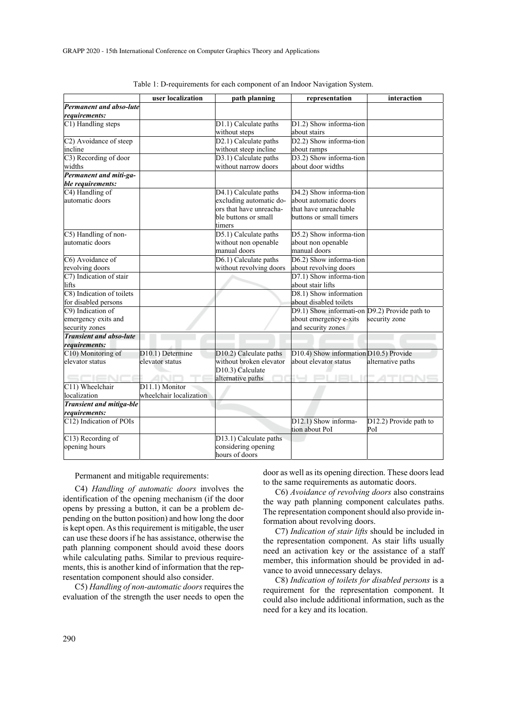|                                 | user localization       | path planning                 | representation                                | interaction            |
|---------------------------------|-------------------------|-------------------------------|-----------------------------------------------|------------------------|
| Permanent and abso-lute         |                         |                               |                                               |                        |
| requirements:                   |                         |                               |                                               |                        |
| C1) Handling steps              |                         | D1.1) Calculate paths         | D1.2) Show informa-tion                       |                        |
|                                 |                         | without steps                 | about stairs                                  |                        |
| C2) Avoidance of steep          |                         | D2.1) Calculate paths         | D2.2) Show informa-tion                       |                        |
| incline                         |                         | without steep incline         | about ramps                                   |                        |
| C3) Recording of door           |                         | D3.1) Calculate paths         | D3.2) Show informa-tion                       |                        |
| widths                          |                         | without narrow doors          | about door widths                             |                        |
| Permanent and miti-ga-          |                         |                               |                                               |                        |
| ble requirements:               |                         |                               |                                               |                        |
| C4) Handling of                 |                         | D4.1) Calculate paths         | D4.2) Show informa-tion                       |                        |
| automatic doors                 |                         | excluding automatic do-       | about automatic doors                         |                        |
|                                 |                         | ors that have unreacha-       | that have unreachable                         |                        |
|                                 |                         | ble buttons or small          | buttons or small timers                       |                        |
|                                 |                         | timers                        |                                               |                        |
| C5) Handling of non-            |                         | D5.1) Calculate paths         | D5.2) Show informa-tion                       |                        |
| automatic doors                 |                         | without non openable          | about non openable                            |                        |
|                                 |                         | manual doors                  | manual doors                                  |                        |
| C6) Avoidance of                |                         | D6.1) Calculate paths         | D6.2) Show informa-tion                       |                        |
| revolving doors                 |                         | without revolving doors       | about revolving doors                         |                        |
| C7) Indication of stair         |                         |                               | D7.1) Show informa-tion                       |                        |
| lifts                           |                         |                               | about stair lifts                             |                        |
| C8) Indication of toilets       |                         |                               | D8.1) Show information                        |                        |
| for disabled persons            |                         |                               | about disabled toilets                        |                        |
| C9) Indication of               |                         |                               | D9.1) Show informati-on D9.2) Provide path to |                        |
| emergency exits and             |                         |                               | about emergency e-xits                        | security zone          |
| security zones                  |                         |                               | and security zones                            |                        |
| <b>Transient and abso-lute</b>  |                         |                               |                                               |                        |
| requirements:                   |                         |                               |                                               |                        |
| C10) Monitoring of              | D10.1) Determine        | D10.2) Calculate paths        | D10.4) Show information D10.5) Provide        |                        |
| elevator status                 | elevator status         | without broken elevator       | about elevator status                         | alternative paths      |
|                                 |                         | D <sub>10.3</sub> ) Calculate |                                               |                        |
|                                 |                         | alternative paths             |                                               |                        |
| C11) Wheelchair                 | D11.1) Monitor          |                               |                                               |                        |
| localization                    | wheelchair localization |                               |                                               |                        |
| <b>Transient and mitiga-ble</b> |                         |                               |                                               |                        |
| requirements:                   |                         |                               |                                               |                        |
| C12) Indication of POIs         |                         |                               | D12.1) Show informa-                          | D12.2) Provide path to |
|                                 |                         |                               | tion about PoI                                | PoI                    |
| C13) Recording of               |                         | D13.1) Calculate paths        |                                               |                        |
| opening hours                   |                         | considering opening           |                                               |                        |
|                                 |                         | hours of doors                |                                               |                        |

Table 1: D-requirements for each component of an Indoor Navigation System.

Permanent and mitigable requirements:

C4) *Handling of automatic doors* involves the identification of the opening mechanism (if the door opens by pressing a button, it can be a problem depending on the button position) and how long the door is kept open. As this requirement is mitigable, the user can use these doors if he has assistance, otherwise the path planning component should avoid these doors while calculating paths. Similar to previous requirements, this is another kind of information that the representation component should also consider.

C5) *Handling of non-automatic doors* requires the evaluation of the strength the user needs to open the door as well as its opening direction. These doors lead to the same requirements as automatic doors.

C6) *Avoidance of revolving doors* also constrains the way path planning component calculates paths. The representation component should also provide information about revolving doors.

C7) *Indication of stair lifts* should be included in the representation component. As stair lifts usually need an activation key or the assistance of a staff member, this information should be provided in advance to avoid unnecessary delays.

C8) *Indication of toilets for disabled persons* is a requirement for the representation component. It could also include additional information, such as the need for a key and its location.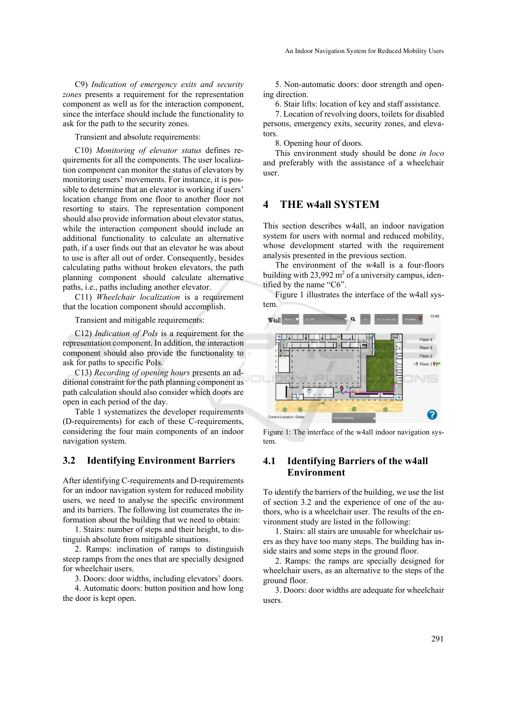C9) *Indication of emergency exits and security zones* presents a requirement for the representation component as well as for the interaction component, since the interface should include the functionality to ask for the path to the security zones.

Transient and absolute requirements:

C10) *Monitoring of elevator status* defines requirements for all the components. The user localization component can monitor the status of elevators by monitoring users' movements. For instance, it is possible to determine that an elevator is working if users' location change from one floor to another floor not resorting to stairs. The representation component should also provide information about elevator status, while the interaction component should include an additional functionality to calculate an alternative path, if a user finds out that an elevator he was about to use is after all out of order. Consequently, besides calculating paths without broken elevators, the path planning component should calculate alternative paths, i.e., paths including another elevator.

C11) *Wheelchair localization* is a requirement that the location component should accomplish.

Transient and mitigable requirements:

C12) *Indication of PoIs* is a requirement for the representation component. In addition, the interaction component should also provide the functionality to ask for paths to specific PoIs.

C13) *Recording of opening hours* presents an additional constraint for the path planning component as path calculation should also consider which doors are open in each period of the day.

Table 1 systematizes the developer requirements (D-requirements) for each of these C-requirements, considering the four main components of an indoor navigation system.

### **3.2 Identifying Environment Barriers**

After identifying C-requirements and D-requirements for an indoor navigation system for reduced mobility users, we need to analyse the specific environment and its barriers. The following list enumerates the information about the building that we need to obtain:

1. Stairs: number of steps and their height, to distinguish absolute from mitigable situations.

2. Ramps: inclination of ramps to distinguish steep ramps from the ones that are specially designed for wheelchair users.

3. Doors: door widths, including elevators' doors.

4. Automatic doors: button position and how long the door is kept open.

5. Non-automatic doors: door strength and opening direction.

6. Stair lifts: location of key and staff assistance.

7. Location of revolving doors, toilets for disabled persons, emergency exits, security zones, and elevators.

8. Opening hour of doors.

This environment study should be done *in loco* and preferably with the assistance of a wheelchair user.

# **4 THE w4all SYSTEM**

This section describes w4all, an indoor navigation system for users with normal and reduced mobility, whose development started with the requirement analysis presented in the previous section.

The environment of the w4all is a four-floors building with  $23,992$  m<sup>2</sup> of a university campus, identified by the name "C6".

Figure 1 illustrates the interface of the w4all system.



Figure 1: The interface of the w4all indoor navigation system.

# **4.1 Identifying Barriers of the w4all Environment**

To identify the barriers of the building, we use the list of section 3.2 and the experience of one of the authors, who is a wheelchair user. The results of the environment study are listed in the following:

1. Stairs: all stairs are unusable for wheelchair users as they have too many steps. The building has inside stairs and some steps in the ground floor.

2. Ramps: the ramps are specially designed for wheelchair users, as an alternative to the steps of the ground floor.

3. Doors: door widths are adequate for wheelchair users.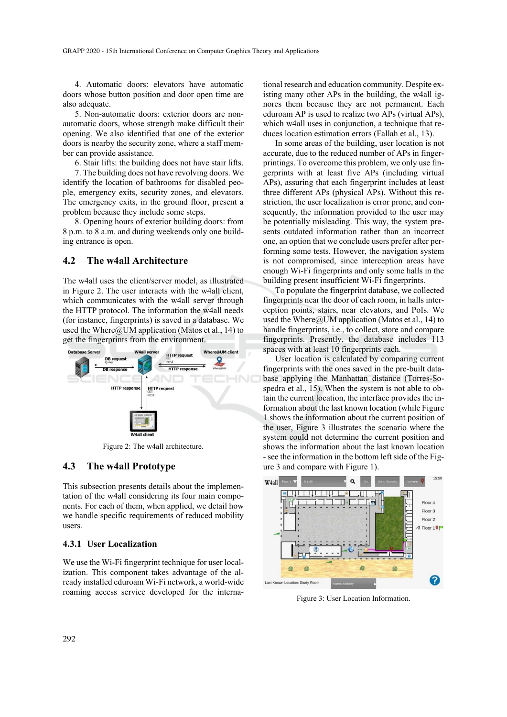4. Automatic doors: elevators have automatic doors whose button position and door open time are also adequate.

5. Non-automatic doors: exterior doors are nonautomatic doors, whose strength make difficult their opening. We also identified that one of the exterior doors is nearby the security zone, where a staff member can provide assistance.

6. Stair lifts: the building does not have stair lifts. 7. The building does not have revolving doors. We identify the location of bathrooms for disabled people, emergency exits, security zones, and elevators. The emergency exits, in the ground floor, present a problem because they include some steps.

8. Opening hours of exterior building doors: from 8 p.m. to 8 a.m. and during weekends only one building entrance is open.

### **4.2 The w4all Architecture**

The w4all uses the client/server model, as illustrated in Figure 2. The user interacts with the w4all client, which communicates with the w4all server through the HTTP protocol. The information the w4all needs (for instance, fingerprints) is saved in a database. We used the Where $@$ UM application (Matos et al., 14) to get the fingerprints from the environment.



Figure 2: The w4all architecture.

### **4.3 The w4all Prototype**

This subsection presents details about the implementation of the w4all considering its four main components. For each of them, when applied, we detail how we handle specific requirements of reduced mobility users.

#### **4.3.1 User Localization**

We use the Wi-Fi fingerprint technique for user localization. This component takes advantage of the already installed eduroam Wi-Fi network, a world-wide roaming access service developed for the interna-

tional research and education community. Despite existing many other APs in the building, the w4all ignores them because they are not permanent. Each eduroam AP is used to realize two APs (virtual APs), which w4all uses in conjunction, a technique that reduces location estimation errors (Fallah et al., 13).

In some areas of the building, user location is not accurate, due to the reduced number of APs in fingerprintings. To overcome this problem, we only use fingerprints with at least five APs (including virtual APs), assuring that each fingerprint includes at least three different APs (physical APs). Without this restriction, the user localization is error prone, and consequently, the information provided to the user may be potentially misleading. This way, the system presents outdated information rather than an incorrect one, an option that we conclude users prefer after performing some tests. However, the navigation system is not compromised, since interception areas have enough Wi-Fi fingerprints and only some halls in the building present insufficient Wi-Fi fingerprints.

To populate the fingerprint database, we collected fingerprints near the door of each room, in halls interception points, stairs, near elevators, and PoIs. We used the Where $@$ UM application (Matos et al., 14) to handle fingerprints, i.e., to collect, store and compare fingerprints. Presently, the database includes 113 spaces with at least 10 fingerprints each.

User location is calculated by comparing current fingerprints with the ones saved in the pre-built database applying the Manhattan distance (Torres-Sospedra et al., 15). When the system is not able to obtain the current location, the interface provides the information about the last known location (while Figure 1 shows the information about the current position of the user, Figure 3 illustrates the scenario where the system could not determine the current position and shows the information about the last known location - see the information in the bottom left side of the Figure 3 and compare with Figure 1).



Figure 3: User Location Information.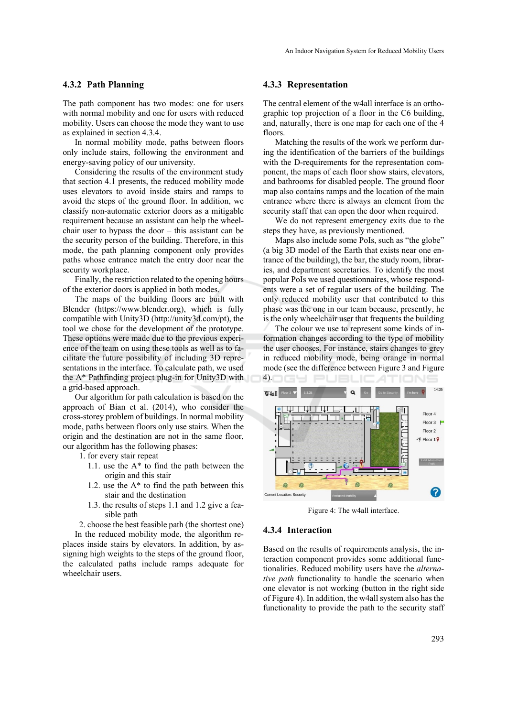### **4.3.2 Path Planning**

The path component has two modes: one for users with normal mobility and one for users with reduced mobility. Users can choose the mode they want to use as explained in section 4.3.4.

In normal mobility mode, paths between floors only include stairs, following the environment and energy-saving policy of our university.

Considering the results of the environment study that section 4.1 presents, the reduced mobility mode uses elevators to avoid inside stairs and ramps to avoid the steps of the ground floor. In addition, we classify non-automatic exterior doors as a mitigable requirement because an assistant can help the wheelchair user to bypass the door – this assistant can be the security person of the building. Therefore, in this mode, the path planning component only provides paths whose entrance match the entry door near the security workplace.

Finally, the restriction related to the opening hours of the exterior doors is applied in both modes.

The maps of the building floors are built with Blender (https://www.blender.org), which is fully compatible with Unity3D (http://unity3d.com/pt), the tool we chose for the development of the prototype. These options were made due to the previous experience of the team on using these tools as well as to facilitate the future possibility of including 3D representations in the interface. To calculate path, we used the A\* Pathfinding project plug-in for Unity3D with a grid-based approach.

Our algorithm for path calculation is based on the approach of Bian et al. (2014), who consider the cross-storey problem of buildings. In normal mobility mode, paths between floors only use stairs. When the origin and the destination are not in the same floor, our algorithm has the following phases:

- 1. for every stair repeat
	- 1.1. use the A\* to find the path between the origin and this stair
	- 1.2. use the A\* to find the path between this stair and the destination
	- 1.3. the results of steps 1.1 and 1.2 give a feasible path

 2. choose the best feasible path (the shortest one) In the reduced mobility mode, the algorithm replaces inside stairs by elevators. In addition, by assigning high weights to the steps of the ground floor, the calculated paths include ramps adequate for wheelchair users.

### **4.3.3 Representation**

The central element of the w4all interface is an orthographic top projection of a floor in the C6 building, and, naturally, there is one map for each one of the 4 floors.

Matching the results of the work we perform during the identification of the barriers of the buildings with the D-requirements for the representation component, the maps of each floor show stairs, elevators, and bathrooms for disabled people. The ground floor map also contains ramps and the location of the main entrance where there is always an element from the security staff that can open the door when required.

We do not represent emergency exits due to the steps they have, as previously mentioned.

Maps also include some PoIs, such as "the globe" (a big 3D model of the Earth that exists near one entrance of the building), the bar, the study room, libraries, and department secretaries. To identify the most popular PoIs we used questionnaires, whose respondents were a set of regular users of the building. The only reduced mobility user that contributed to this phase was the one in our team because, presently, he is the only wheelchair user that frequents the building

The colour we use to represent some kinds of information changes according to the type of mobility the user chooses. For instance, stairs changes to grey in reduced mobility mode, being orange in normal mode (see the difference between Figure 3 and Figure



Figure 4: The w4all interface.

### **4.3.4 Interaction**

Based on the results of requirements analysis, the interaction component provides some additional functionalities. Reduced mobility users have the *alternative path* functionality to handle the scenario when one elevator is not working (button in the right side of Figure 4). In addition, the w4all system also has the functionality to provide the path to the security staff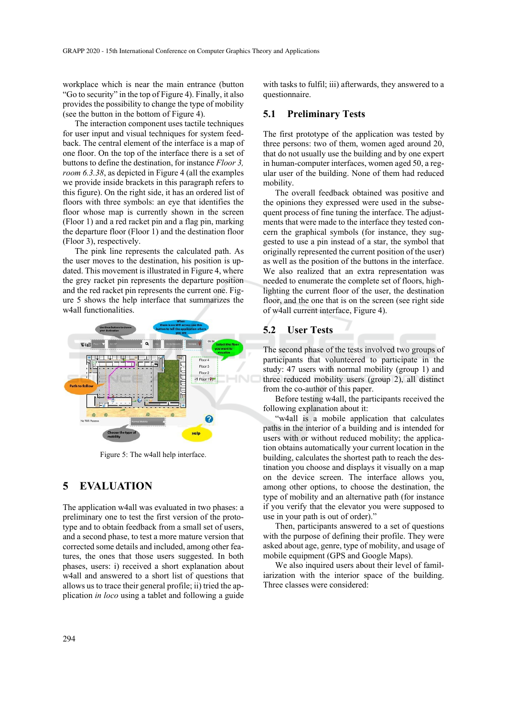workplace which is near the main entrance (button "Go to security" in the top of Figure 4). Finally, it also provides the possibility to change the type of mobility (see the button in the bottom of Figure 4).

The interaction component uses tactile techniques for user input and visual techniques for system feedback. The central element of the interface is a map of one floor. On the top of the interface there is a set of buttons to define the destination, for instance *Floor 3, room 6.3.38*, as depicted in Figure 4 (all the examples we provide inside brackets in this paragraph refers to this figure). On the right side, it has an ordered list of floors with three symbols: an eye that identifies the floor whose map is currently shown in the screen (Floor 1) and a red racket pin and a flag pin, marking the departure floor (Floor 1) and the destination floor (Floor 3), respectively.

The pink line represents the calculated path. As the user moves to the destination, his position is updated. This movement is illustrated in Figure 4, where the grey racket pin represents the departure position and the red racket pin represents the current one. Figure 5 shows the help interface that summarizes the w4all functionalities.



Figure 5: The w4all help interface.

# **5 EVALUATION**

The application w4all was evaluated in two phases: a preliminary one to test the first version of the prototype and to obtain feedback from a small set of users, and a second phase, to test a more mature version that corrected some details and included, among other features, the ones that those users suggested. In both phases, users: i) received a short explanation about w4all and answered to a short list of questions that allows us to trace their general profile; ii) tried the application *in loco* using a tablet and following a guide

with tasks to fulfil; iii) afterwards, they answered to a questionnaire.

# **5.1 Preliminary Tests**

The first prototype of the application was tested by three persons: two of them, women aged around 20, that do not usually use the building and by one expert in human-computer interfaces, women aged 50, a regular user of the building. None of them had reduced mobility.

The overall feedback obtained was positive and the opinions they expressed were used in the subsequent process of fine tuning the interface. The adjustments that were made to the interface they tested concern the graphical symbols (for instance, they suggested to use a pin instead of a star, the symbol that originally represented the current position of the user) as well as the position of the buttons in the interface. We also realized that an extra representation was needed to enumerate the complete set of floors, highlighting the current floor of the user, the destination floor, and the one that is on the screen (see right side of w4all current interface, Figure 4).

# **5.2 User Tests**

The second phase of the tests involved two groups of participants that volunteered to participate in the study: 47 users with normal mobility (group 1) and three reduced mobility users (group 2), all distinct from the co-author of this paper.

Before testing w4all, the participants received the following explanation about it:

"w4all is a mobile application that calculates paths in the interior of a building and is intended for users with or without reduced mobility; the application obtains automatically your current location in the building, calculates the shortest path to reach the destination you choose and displays it visually on a map on the device screen. The interface allows you, among other options, to choose the destination, the type of mobility and an alternative path (for instance if you verify that the elevator you were supposed to use in your path is out of order)."

Then, participants answered to a set of questions with the purpose of defining their profile. They were asked about age, genre, type of mobility, and usage of mobile equipment (GPS and Google Maps).

We also inquired users about their level of familiarization with the interior space of the building. Three classes were considered: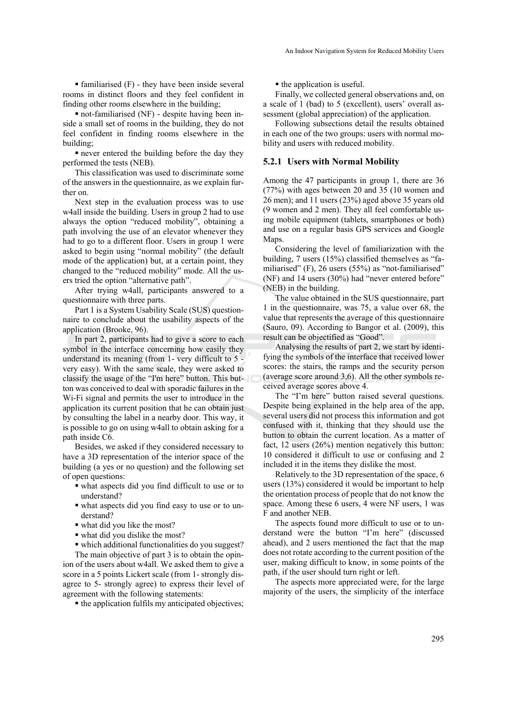$\blacksquare$  familiarised (F) - they have been inside several rooms in distinct floors and they feel confident in finding other rooms elsewhere in the building;

 not-familiarised (NF) - despite having been inside a small set of rooms in the building, they do not feel confident in finding rooms elsewhere in the building;

never entered the building before the day they performed the tests (NEB).

This classification was used to discriminate some of the answers in the questionnaire, as we explain further on.

Next step in the evaluation process was to use w4all inside the building. Users in group 2 had to use always the option "reduced mobility", obtaining a path involving the use of an elevator whenever they had to go to a different floor. Users in group 1 were asked to begin using "normal mobility" (the default mode of the application) but, at a certain point, they changed to the "reduced mobility" mode. All the users tried the option "alternative path".

After trying w4all, participants answered to a questionnaire with three parts.

Part 1 is a System Usability Scale (SUS) questionnaire to conclude about the usability aspects of the application (Brooke, 96).

In part 2, participants had to give a score to each symbol in the interface concerning how easily they understand its meaning (from 1- very difficult to 5 very easy). With the same scale, they were asked to classify the usage of the "I'm here" button. This button was conceived to deal with sporadic failures in the Wi-Fi signal and permits the user to introduce in the application its current position that he can obtain just by consulting the label in a nearby door. This way, it is possible to go on using w4all to obtain asking for a path inside C6.

Besides, we asked if they considered necessary to have a 3D representation of the interior space of the building (a yes or no question) and the following set of open questions:

- what aspects did you find difficult to use or to understand?
- what aspects did you find easy to use or to understand?
- what did you like the most?
- what did you dislike the most?

 which additional functionalities do you suggest? The main objective of part 3 is to obtain the opinion of the users about w4all. We asked them to give a score in a 5 points Lickert scale (from 1- strongly dis-

agree to 5- strongly agree) to express their level of

agreement with the following statements:  $\blacksquare$  the application fulfils my anticipated objectives;  $\blacksquare$  the application is useful.

Finally, we collected general observations and, on a scale of 1 (bad) to 5 (excellent), users' overall assessment (global appreciation) of the application.

Following subsections detail the results obtained in each one of the two groups: users with normal mobility and users with reduced mobility.

#### **5.2.1 Users with Normal Mobility**

Among the 47 participants in group 1, there are 36 (77%) with ages between 20 and 35 (10 women and 26 men); and 11 users (23%) aged above 35 years old (9 women and 2 men). They all feel comfortable using mobile equipment (tablets, smartphones or both) and use on a regular basis GPS services and Google Maps.

Considering the level of familiarization with the building, 7 users (15%) classified themselves as "familiarised" (F), 26 users (55%) as "not-familiarised" (NF) and 14 users (30%) had "never entered before" (NEB) in the building.

The value obtained in the SUS questionnaire, part 1 in the questionnaire, was 75, a value over 68, the value that represents the average of this questionnaire (Sauro, 09). According to Bangor et al. (2009), this result can be objectified as "Good".

Analysing the results of part 2, we start by identifying the symbols of the interface that received lower scores: the stairs, the ramps and the security person (average score around 3,6). All the other symbols received average scores above 4.

The "I'm here" button raised several questions. Despite being explained in the help area of the app, several users did not process this information and got confused with it, thinking that they should use the button to obtain the current location. As a matter of fact, 12 users (26%) mention negatively this button: 10 considered it difficult to use or confusing and 2 included it in the items they dislike the most.

Relatively to the 3D representation of the space, 6 users (13%) considered it would be important to help the orientation process of people that do not know the space. Among these 6 users, 4 were NF users, 1 was F and another NEB.

The aspects found more difficult to use or to understand were the button "I'm here" (discussed ahead), and 2 users mentioned the fact that the map does not rotate according to the current position of the user, making difficult to know, in some points of the path, if the user should turn right or left.

The aspects more appreciated were, for the large majority of the users, the simplicity of the interface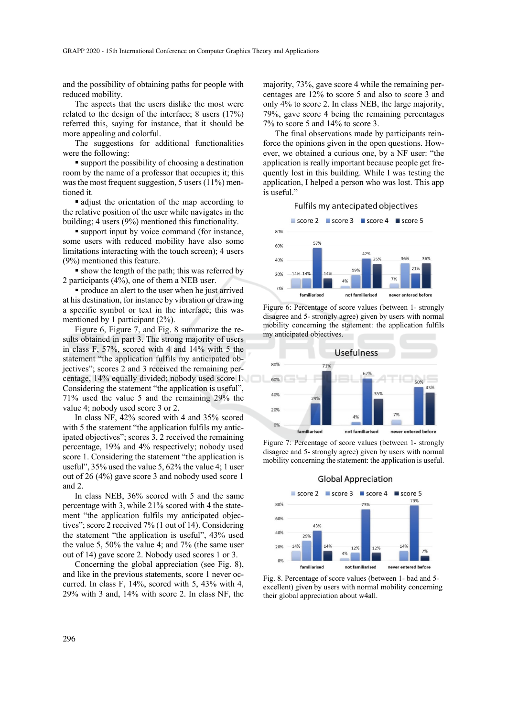and the possibility of obtaining paths for people with reduced mobility.

The aspects that the users dislike the most were related to the design of the interface; 8 users (17%) referred this, saying for instance, that it should be more appealing and colorful.

The suggestions for additional functionalities were the following:

 support the possibility of choosing a destination room by the name of a professor that occupies it; this was the most frequent suggestion, 5 users (11%) mentioned it.

 adjust the orientation of the map according to the relative position of the user while navigates in the building; 4 users (9%) mentioned this functionality.

 support input by voice command (for instance, some users with reduced mobility have also some limitations interacting with the touch screen); 4 users (9%) mentioned this feature.

 show the length of the path; this was referred by 2 participants (4%), one of them a NEB user.

 produce an alert to the user when he just arrived at his destination, for instance by vibration or drawing a specific symbol or text in the interface; this was mentioned by 1 participant (2%).

Figure 6, Figure 7, and Fig. 8 summarize the results obtained in part 3. The strong majority of users in class F, 57%, scored with 4 and 14% with 5 the statement "the application fulfils my anticipated objectives"; scores 2 and 3 received the remaining percentage, 14% equally divided; nobody used score 1. Considering the statement "the application is useful", 71% used the value 5 and the remaining 29% the value 4; nobody used score 3 or 2.

In class NF, 42% scored with 4 and 35% scored with 5 the statement "the application fulfils my anticipated objectives"; scores 3, 2 received the remaining percentage, 19% and 4% respectively; nobody used score 1. Considering the statement "the application is useful", 35% used the value 5, 62% the value 4; 1 user out of 26 (4%) gave score 3 and nobody used score 1 and 2.

In class NEB, 36% scored with 5 and the same percentage with 3, while 21% scored with 4 the statement "the application fulfils my anticipated objectives"; score 2 received 7% (1 out of 14). Considering the statement "the application is useful", 43% used the value 5, 50% the value 4; and 7% (the same user out of 14) gave score 2. Nobody used scores 1 or 3.

Concerning the global appreciation (see Fig. 8), and like in the previous statements, score 1 never occurred. In class F, 14%, scored with 5, 43% with 4, 29% with 3 and, 14% with score 2. In class NF, the

majority, 73%, gave score 4 while the remaining percentages are 12% to score 5 and also to score 3 and only 4% to score 2. In class NEB, the large majority, 79%, gave score 4 being the remaining percentages 7% to score 5 and 14% to score 3.

The final observations made by participants reinforce the opinions given in the open questions. However, we obtained a curious one, by a NF user: "the application is really important because people get frequently lost in this building. While I was testing the application, I helped a person who was lost. This app is useful."



Figure 6: Percentage of score values (between 1- strongly disagree and 5- strongly agree) given by users with normal mobility concerning the statement: the application fulfils my anticipated objectives.



Figure 7: Percentage of score values (between 1- strongly disagree and 5- strongly agree) given by users with normal mobility concerning the statement: the application is useful.



Fig. 8. Percentage of score values (between 1- bad and 5 excellent) given by users with normal mobility concerning their global appreciation about w4all.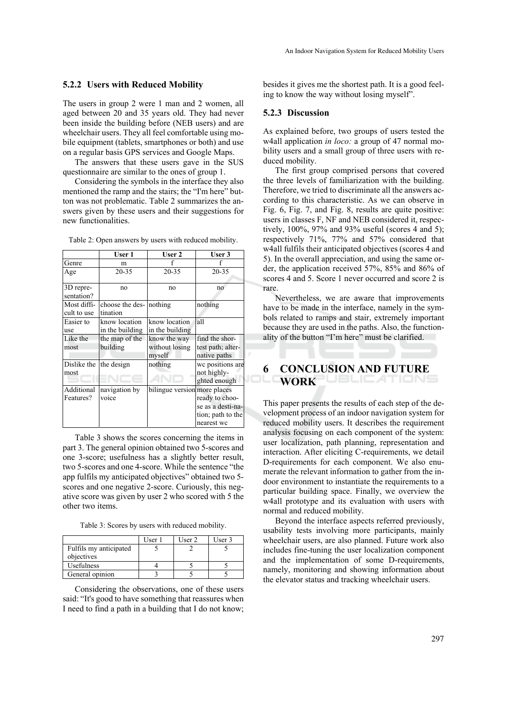#### **5.2.2 Users with Reduced Mobility**

The users in group 2 were 1 man and 2 women, all aged between 20 and 35 years old. They had never been inside the building before (NEB users) and are wheelchair users. They all feel comfortable using mobile equipment (tablets, smartphones or both) and use on a regular basis GPS services and Google Maps.

The answers that these users gave in the SUS questionnaire are similar to the ones of group 1.

Considering the symbols in the interface they also mentioned the ramp and the stairs; the "I'm here" button was not problematic. Table 2 summarizes the answers given by these users and their suggestions for new functionalities.

|                            | User 1                              | User 2                                   | User 3                                                                 |
|----------------------------|-------------------------------------|------------------------------------------|------------------------------------------------------------------------|
| Genre                      | m                                   |                                          |                                                                        |
| Age                        | $20 - 35$                           | 20-35                                    | $20 - 35$                                                              |
| 3D repre-<br>sentation?    | no                                  | no                                       | no                                                                     |
| Most diffi-<br>cult to use | choose the des- nothing<br>tination |                                          | nothing                                                                |
| Easier to                  | know location                       | know location                            | all                                                                    |
| use                        | in the building                     | in the building                          |                                                                        |
| Like the<br>most           | the map of the<br>building          | know the way<br>without losing<br>myself | find the shor-<br>test path; alter-<br>native paths                    |
| Dislike the<br>most        | the design                          | nothing                                  | we positions are<br>not highly-<br>ghted enough                        |
| Additional<br>Features?    | navigation by<br>voice              | bilingue version more places             | ready to choo-<br>se as a desti-na-<br>tion; path to the<br>nearest wc |

Table 2: Open answers by users with reduced mobility.

Table 3 shows the scores concerning the items in part 3. The general opinion obtained two 5-scores and one 3-score; usefulness has a slightly better result, two 5-scores and one 4-score. While the sentence "the app fulfils my anticipated objectives" obtained two 5 scores and one negative 2-score. Curiously, this negative score was given by user 2 who scored with 5 the other two items.

Table 3: Scores by users with reduced mobility.

|                        | User 1 | User 2 | User 3 |
|------------------------|--------|--------|--------|
| Fulfils my anticipated |        |        |        |
| objectives             |        |        |        |
| Usefulness             |        |        |        |
| General opinion        |        |        |        |

Considering the observations, one of these users said: "It's good to have something that reassures when I need to find a path in a building that I do not know; besides it gives me the shortest path. It is a good feeling to know the way without losing myself".

### **5.2.3 Discussion**

As explained before, two groups of users tested the w4all application *in loco:* a group of 47 normal mobility users and a small group of three users with reduced mobility.

The first group comprised persons that covered the three levels of familiarization with the building. Therefore, we tried to discriminate all the answers according to this characteristic. As we can observe in Fig. 6, Fig. 7, and Fig. 8, results are quite positive: users in classes F, NF and NEB considered it, respectively, 100%, 97% and 93% useful (scores 4 and 5); respectively 71%, 77% and 57% considered that w4all fulfils their anticipated objectives (scores 4 and 5). In the overall appreciation, and using the same order, the application received 57%, 85% and 86% of scores 4 and 5. Score 1 never occurred and score 2 is rare.

Nevertheless, we are aware that improvements have to be made in the interface, namely in the symbols related to ramps and stair, extremely important because they are used in the paths. Also, the functionality of the button "I'm here" must be clarified.

#### **6 CONCLUSION AND FUTURE WORK** JBLICATIONS

This paper presents the results of each step of the development process of an indoor navigation system for reduced mobility users. It describes the requirement analysis focusing on each component of the system: user localization, path planning, representation and interaction. After eliciting C-requirements, we detail D-requirements for each component. We also enumerate the relevant information to gather from the indoor environment to instantiate the requirements to a particular building space. Finally, we overview the w4all prototype and its evaluation with users with normal and reduced mobility.

Beyond the interface aspects referred previously, usability tests involving more participants, mainly wheelchair users, are also planned. Future work also includes fine-tuning the user localization component and the implementation of some D-requirements, namely, monitoring and showing information about the elevator status and tracking wheelchair users.